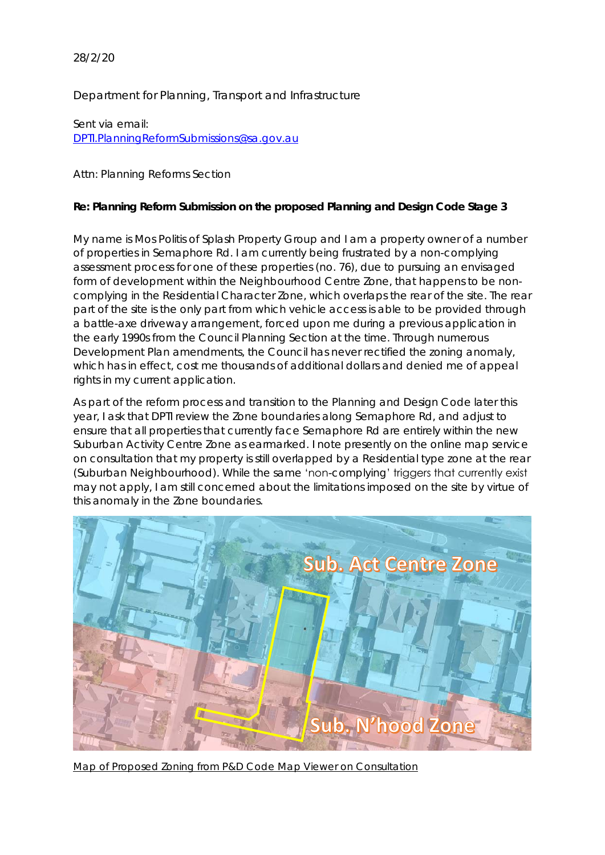28/2/20

Department for Planning, Transport and Infrastructure

Sent via email: [DPTI.PlanningReformSubmissions@sa.gov.au](mailto:DPTI.PlanningReformSubmissions@sa.gov.au)

Attn: Planning Reforms Section

**Re: Planning Reform Submission on the proposed Planning and Design Code Stage 3**

My name is Mos Politis of Splash Property Group and I am a property owner of a number of properties in Semaphore Rd. I am currently being frustrated by a non-complying assessment process for one of these properties (no. 76), due to pursuing an envisaged form of development within the Neighbourhood Centre Zone, that happens to be noncomplying in the Residential Character Zone, which overlaps the rear of the site. The rear part of the site is the only part from which vehicle access is able to be provided through a battle-axe driveway arrangement, forced upon me during a previous application in the early 1990s from the Council Planning Section at the time. Through numerous Development Plan amendments, the Council has never rectified the zoning anomaly, which has in effect, cost me thousands of additional dollars and denied me of appeal rights in my current application.

As part of the reform process and transition to the Planning and Design Code later this year, I ask that DPTI review the Zone boundaries along Semaphore Rd, and adjust to ensure that all properties that currently face Semaphore Rd are entirely within the new Suburban Activity Centre Zone as earmarked. I note presently on the online map service on consultation that my property is still overlapped by a Residential type zone at the rear (Suburban Neighbourhood). While the same 'non-complying' triggers that currently exist may not apply, I am still concerned about the limitations imposed on the site by virtue of this anomaly in the Zone boundaries.



Map of Proposed Zoning from P&D Code Map Viewer on Consultation